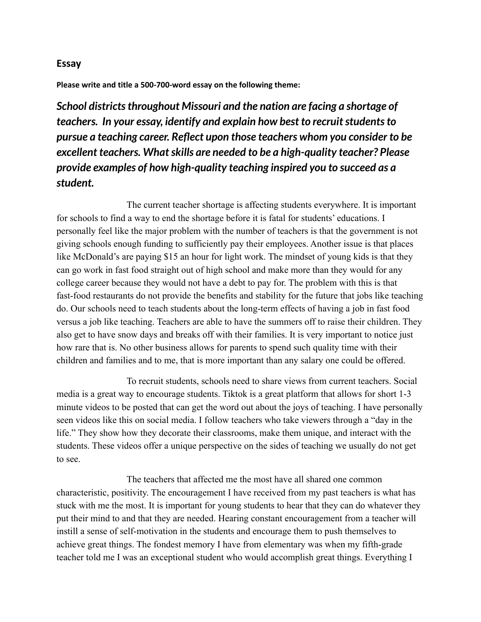## **Essay**

**Please write and title a 500-700-word essay on the following theme:**

*School districtsthroughout Missouri and the nation are facing a shortage of teachers. In your essay, identify and explain how best to recruitstudentsto pursue a teaching career. Reflect upon those teachers whom you consider to be excellent teachers.* What skills are needed to be a high-quality teacher? Please *provide examples of how high-quality teaching inspired you to succeed as a student.*

The current teacher shortage is affecting students everywhere. It is important for schools to find a way to end the shortage before it is fatal for students' educations. I personally feel like the major problem with the number of teachers is that the government is not giving schools enough funding to sufficiently pay their employees. Another issue is that places like McDonald's are paying \$15 an hour for light work. The mindset of young kids is that they can go work in fast food straight out of high school and make more than they would for any college career because they would not have a debt to pay for. The problem with this is that fast-food restaurants do not provide the benefits and stability for the future that jobs like teaching do. Our schools need to teach students about the long-term effects of having a job in fast food versus a job like teaching. Teachers are able to have the summers off to raise their children. They also get to have snow days and breaks off with their families. It is very important to notice just how rare that is. No other business allows for parents to spend such quality time with their children and families and to me, that is more important than any salary one could be offered.

To recruit students, schools need to share views from current teachers. Social media is a great way to encourage students. Tiktok is a great platform that allows for short 1-3 minute videos to be posted that can get the word out about the joys of teaching. I have personally seen videos like this on social media. I follow teachers who take viewers through a "day in the life." They show how they decorate their classrooms, make them unique, and interact with the students. These videos offer a unique perspective on the sides of teaching we usually do not get to see.

The teachers that affected me the most have all shared one common characteristic, positivity. The encouragement I have received from my past teachers is what has stuck with me the most. It is important for young students to hear that they can do whatever they put their mind to and that they are needed. Hearing constant encouragement from a teacher will instill a sense of self-motivation in the students and encourage them to push themselves to achieve great things. The fondest memory I have from elementary was when my fifth-grade teacher told me I was an exceptional student who would accomplish great things. Everything I